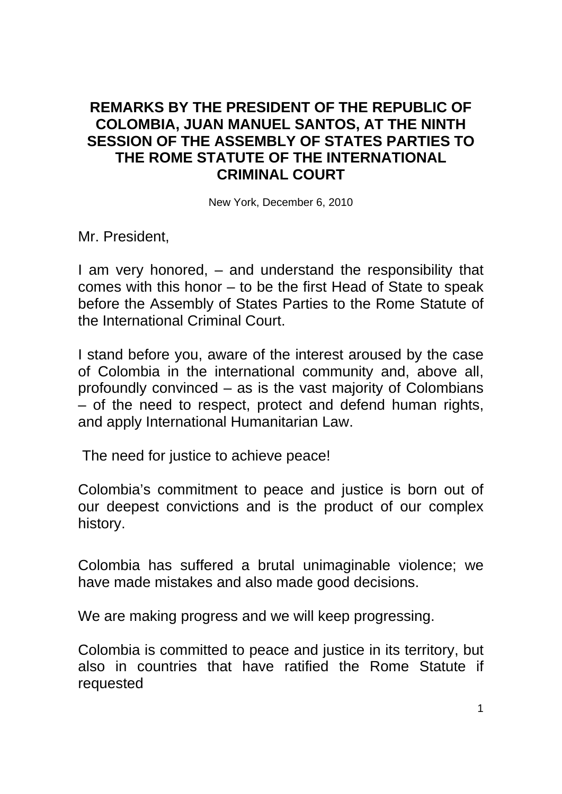## **REMARKS BY THE PRESIDENT OF THE REPUBLIC OF COLOMBIA, JUAN MANUEL SANTOS, AT THE NINTH SESSION OF THE ASSEMBLY OF STATES PARTIES TO THE ROME STATUTE OF THE INTERNATIONAL CRIMINAL COURT**

New York, December 6, 2010

Mr. President,

I am very honored, – and understand the responsibility that comes with this honor – to be the first Head of State to speak before the Assembly of States Parties to the Rome Statute of the International Criminal Court.

I stand before you, aware of the interest aroused by the case of Colombia in the international community and, above all, profoundly convinced – as is the vast majority of Colombians – of the need to respect, protect and defend human rights, and apply International Humanitarian Law.

The need for justice to achieve peace!

Colombia's commitment to peace and justice is born out of our deepest convictions and is the product of our complex history.

Colombia has suffered a brutal unimaginable violence; we have made mistakes and also made good decisions.

We are making progress and we will keep progressing.

Colombia is committed to peace and justice in its territory, but also in countries that have ratified the Rome Statute if requested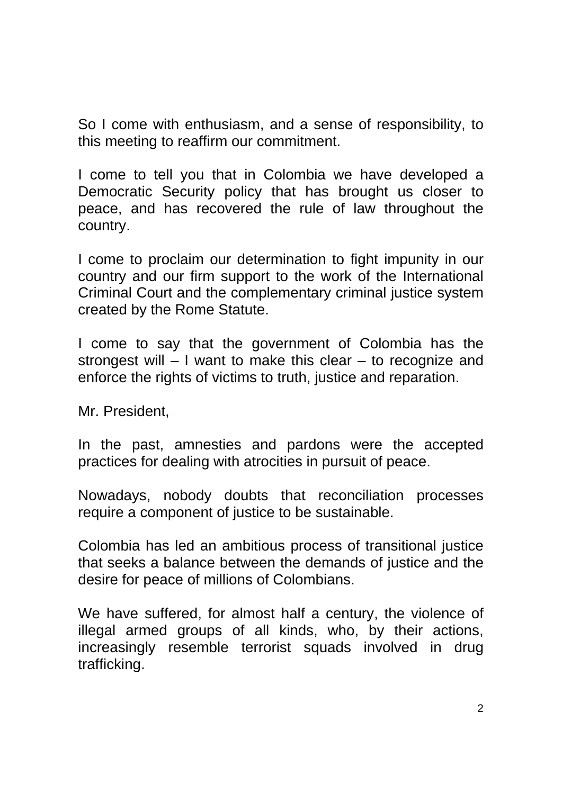So I come with enthusiasm, and a sense of responsibility, to this meeting to reaffirm our commitment.

I come to tell you that in Colombia we have developed a Democratic Security policy that has brought us closer to peace, and has recovered the rule of law throughout the country.

I come to proclaim our determination to fight impunity in our country and our firm support to the work of the International Criminal Court and the complementary criminal justice system created by the Rome Statute.

I come to say that the government of Colombia has the strongest will – I want to make this clear – to recognize and enforce the rights of victims to truth, justice and reparation.

Mr. President,

In the past, amnesties and pardons were the accepted practices for dealing with atrocities in pursuit of peace.

Nowadays, nobody doubts that reconciliation processes require a component of justice to be sustainable.

Colombia has led an ambitious process of transitional justice that seeks a balance between the demands of justice and the desire for peace of millions of Colombians.

We have suffered, for almost half a century, the violence of illegal armed groups of all kinds, who, by their actions, increasingly resemble terrorist squads involved in drug trafficking.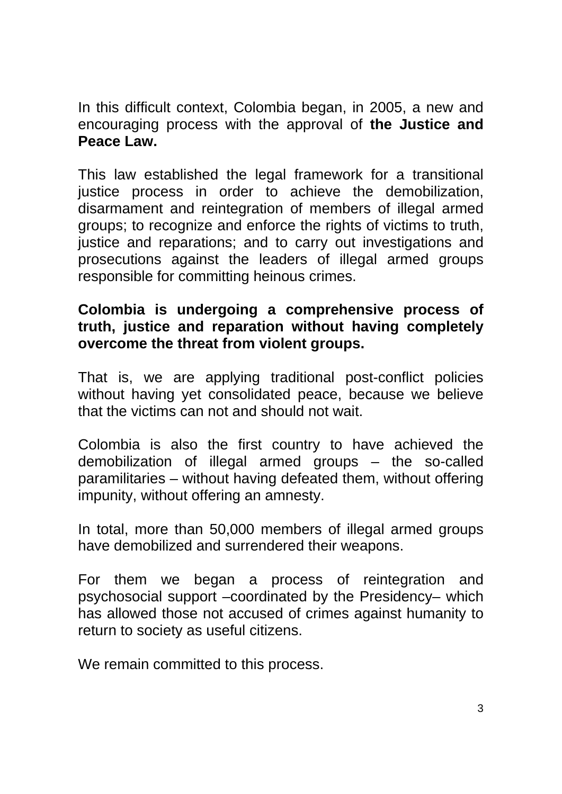In this difficult context, Colombia began, in 2005, a new and encouraging process with the approval of **the Justice and Peace Law.**

This law established the legal framework for a transitional justice process in order to achieve the demobilization, disarmament and reintegration of members of illegal armed groups; to recognize and enforce the rights of victims to truth, justice and reparations; and to carry out investigations and prosecutions against the leaders of illegal armed groups responsible for committing heinous crimes.

## **Colombia is undergoing a comprehensive process of truth, justice and reparation without having completely overcome the threat from violent groups.**

That is, we are applying traditional post-conflict policies without having yet consolidated peace, because we believe that the victims can not and should not wait.

Colombia is also the first country to have achieved the demobilization of illegal armed groups – the so-called paramilitaries – without having defeated them, without offering impunity, without offering an amnesty.

In total, more than 50,000 members of illegal armed groups have demobilized and surrendered their weapons.

For them we began a process of reintegration and psychosocial support –coordinated by the Presidency– which has allowed those not accused of crimes against humanity to return to society as useful citizens.

We remain committed to this process.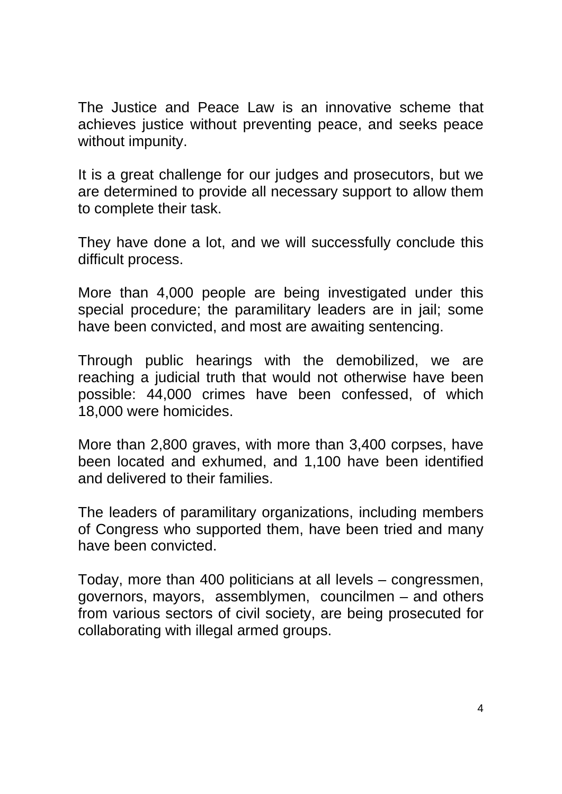The Justice and Peace Law is an innovative scheme that achieves justice without preventing peace, and seeks peace without impunity.

It is a great challenge for our judges and prosecutors, but we are determined to provide all necessary support to allow them to complete their task.

They have done a lot, and we will successfully conclude this difficult process.

More than 4,000 people are being investigated under this special procedure; the paramilitary leaders are in jail; some have been convicted, and most are awaiting sentencing.

Through public hearings with the demobilized, we are reaching a judicial truth that would not otherwise have been possible: 44,000 crimes have been confessed, of which 18,000 were homicides.

More than 2,800 graves, with more than 3,400 corpses, have been located and exhumed, and 1,100 have been identified and delivered to their families.

The leaders of paramilitary organizations, including members of Congress who supported them, have been tried and many have been convicted.

Today, more than 400 politicians at all levels – congressmen, governors, mayors, assemblymen, councilmen – and others from various sectors of civil society, are being prosecuted for collaborating with illegal armed groups.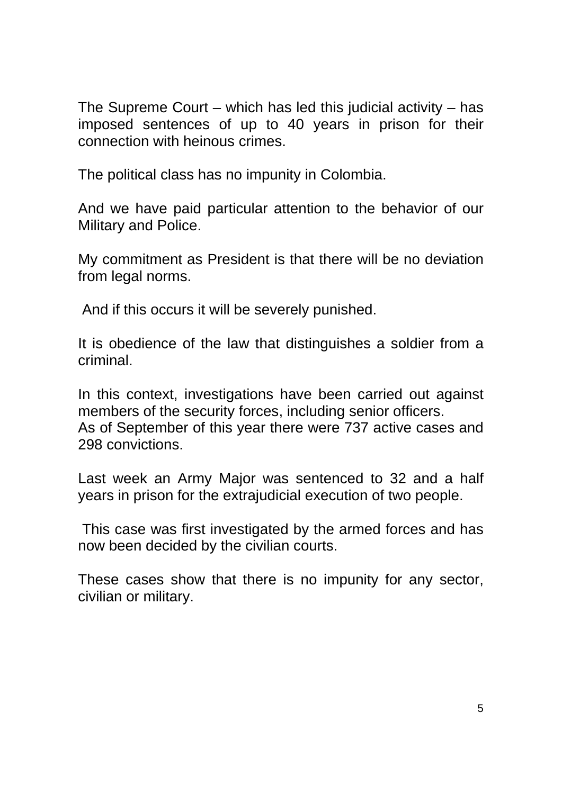The Supreme Court – which has led this judicial activity – has imposed sentences of up to 40 years in prison for their connection with heinous crimes.

The political class has no impunity in Colombia.

And we have paid particular attention to the behavior of our Military and Police.

My commitment as President is that there will be no deviation from legal norms.

And if this occurs it will be severely punished.

It is obedience of the law that distinguishes a soldier from a criminal.

In this context, investigations have been carried out against members of the security forces, including senior officers. As of September of this year there were 737 active cases and 298 convictions.

Last week an Army Major was sentenced to 32 and a half years in prison for the extrajudicial execution of two people.

 This case was first investigated by the armed forces and has now been decided by the civilian courts.

These cases show that there is no impunity for any sector, civilian or military.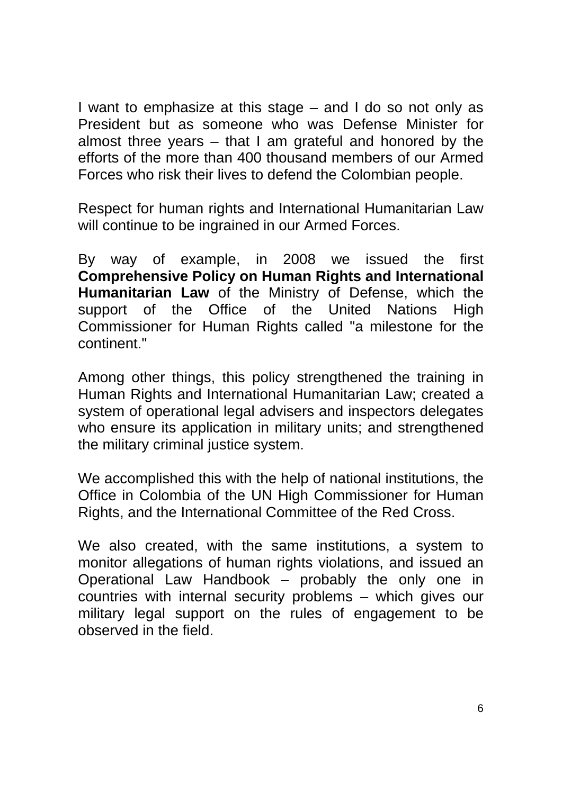I want to emphasize at this stage – and I do so not only as President but as someone who was Defense Minister for almost three years – that I am grateful and honored by the efforts of the more than 400 thousand members of our Armed Forces who risk their lives to defend the Colombian people.

Respect for human rights and International Humanitarian Law will continue to be ingrained in our Armed Forces.

By way of example, in 2008 we issued the first **Comprehensive Policy on Human Rights and International Humanitarian Law** of the Ministry of Defense, which the support of the Office of the United Nations High Commissioner for Human Rights called "a milestone for the continent."

Among other things, this policy strengthened the training in Human Rights and International Humanitarian Law; created a system of operational legal advisers and inspectors delegates who ensure its application in military units; and strengthened the military criminal justice system.

We accomplished this with the help of national institutions, the Office in Colombia of the UN High Commissioner for Human Rights, and the International Committee of the Red Cross.

We also created, with the same institutions, a system to monitor allegations of human rights violations, and issued an Operational Law Handbook – probably the only one in countries with internal security problems – which gives our military legal support on the rules of engagement to be observed in the field.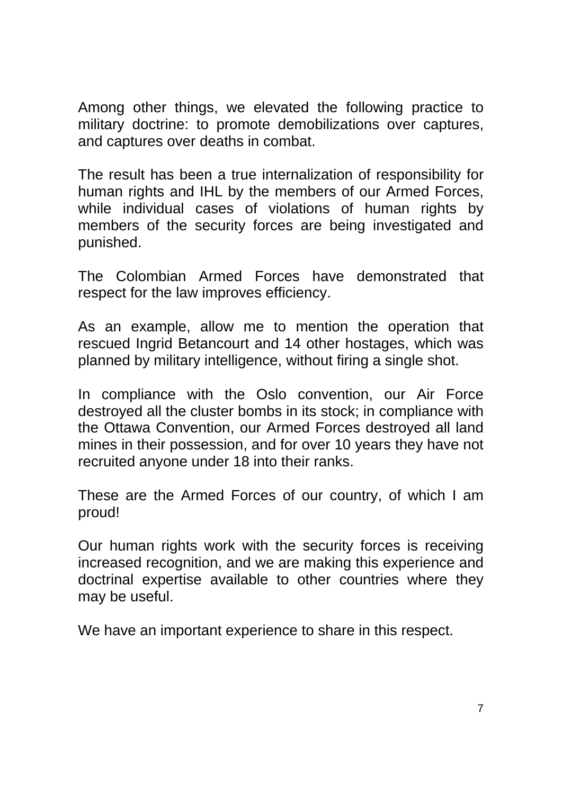Among other things, we elevated the following practice to military doctrine: to promote demobilizations over captures, and captures over deaths in combat.

The result has been a true internalization of responsibility for human rights and IHL by the members of our Armed Forces. while individual cases of violations of human rights by members of the security forces are being investigated and punished.

The Colombian Armed Forces have demonstrated that respect for the law improves efficiency.

As an example, allow me to mention the operation that rescued Ingrid Betancourt and 14 other hostages, which was planned by military intelligence, without firing a single shot.

In compliance with the Oslo convention, our Air Force destroyed all the cluster bombs in its stock; in compliance with the Ottawa Convention, our Armed Forces destroyed all land mines in their possession, and for over 10 years they have not recruited anyone under 18 into their ranks.

These are the Armed Forces of our country, of which I am proud!

Our human rights work with the security forces is receiving increased recognition, and we are making this experience and doctrinal expertise available to other countries where they may be useful.

We have an important experience to share in this respect.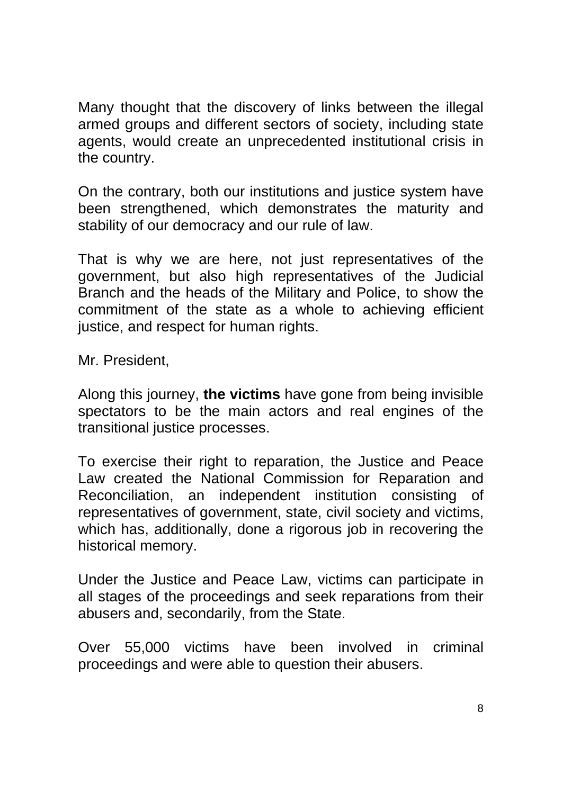Many thought that the discovery of links between the illegal armed groups and different sectors of society, including state agents, would create an unprecedented institutional crisis in the country.

On the contrary, both our institutions and justice system have been strengthened, which demonstrates the maturity and stability of our democracy and our rule of law.

That is why we are here, not just representatives of the government, but also high representatives of the Judicial Branch and the heads of the Military and Police, to show the commitment of the state as a whole to achieving efficient justice, and respect for human rights.

Mr. President,

Along this journey, **the victims** have gone from being invisible spectators to be the main actors and real engines of the transitional justice processes.

To exercise their right to reparation, the Justice and Peace Law created the National Commission for Reparation and Reconciliation, an independent institution consisting of representatives of government, state, civil society and victims, which has, additionally, done a rigorous job in recovering the historical memory.

Under the Justice and Peace Law, victims can participate in all stages of the proceedings and seek reparations from their abusers and, secondarily, from the State.

Over 55,000 victims have been involved in criminal proceedings and were able to question their abusers.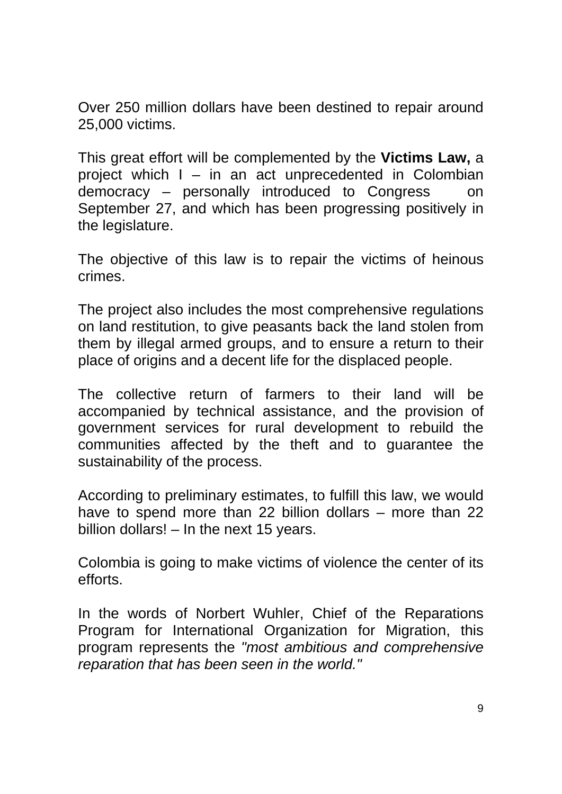Over 250 million dollars have been destined to repair around 25,000 victims.

This great effort will be complemented by the **Victims Law,** a project which I – in an act unprecedented in Colombian democracy – personally introduced to Congress on September 27, and which has been progressing positively in the legislature.

The objective of this law is to repair the victims of heinous crimes.

The project also includes the most comprehensive regulations on land restitution, to give peasants back the land stolen from them by illegal armed groups, and to ensure a return to their place of origins and a decent life for the displaced people.

The collective return of farmers to their land will be accompanied by technical assistance, and the provision of government services for rural development to rebuild the communities affected by the theft and to guarantee the sustainability of the process.

According to preliminary estimates, to fulfill this law, we would have to spend more than 22 billion dollars – more than 22 billion dollars! – In the next 15 years.

Colombia is going to make victims of violence the center of its efforts.

In the words of Norbert Wuhler, Chief of the Reparations Program for International Organization for Migration, this program represents the *"most ambitious and comprehensive reparation that has been seen in the world."*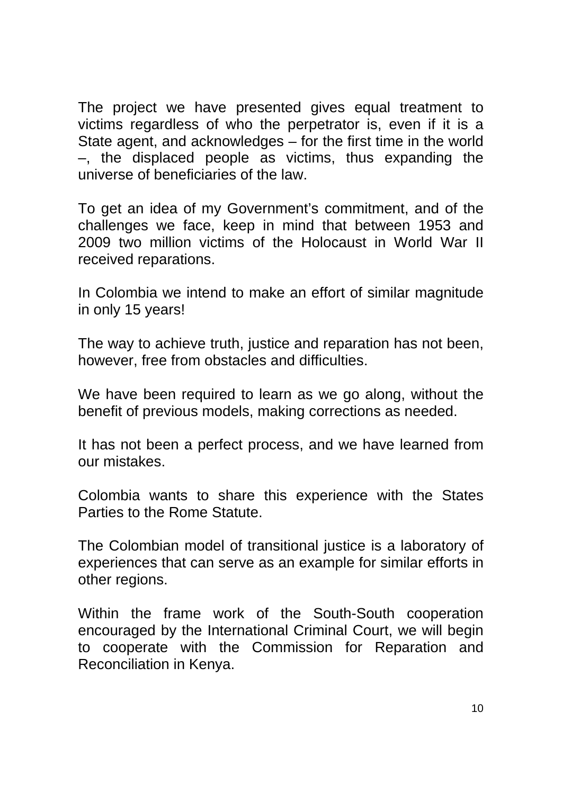The project we have presented gives equal treatment to victims regardless of who the perpetrator is, even if it is a State agent, and acknowledges – for the first time in the world –, the displaced people as victims, thus expanding the universe of beneficiaries of the law.

To get an idea of my Government's commitment, and of the challenges we face, keep in mind that between 1953 and 2009 two million victims of the Holocaust in World War II received reparations.

In Colombia we intend to make an effort of similar magnitude in only 15 years!

The way to achieve truth, justice and reparation has not been, however, free from obstacles and difficulties.

We have been required to learn as we go along, without the benefit of previous models, making corrections as needed.

It has not been a perfect process, and we have learned from our mistakes.

Colombia wants to share this experience with the States Parties to the Rome Statute.

The Colombian model of transitional justice is a laboratory of experiences that can serve as an example for similar efforts in other regions.

Within the frame work of the South-South cooperation encouraged by the International Criminal Court, we will begin to cooperate with the Commission for Reparation and Reconciliation in Kenya.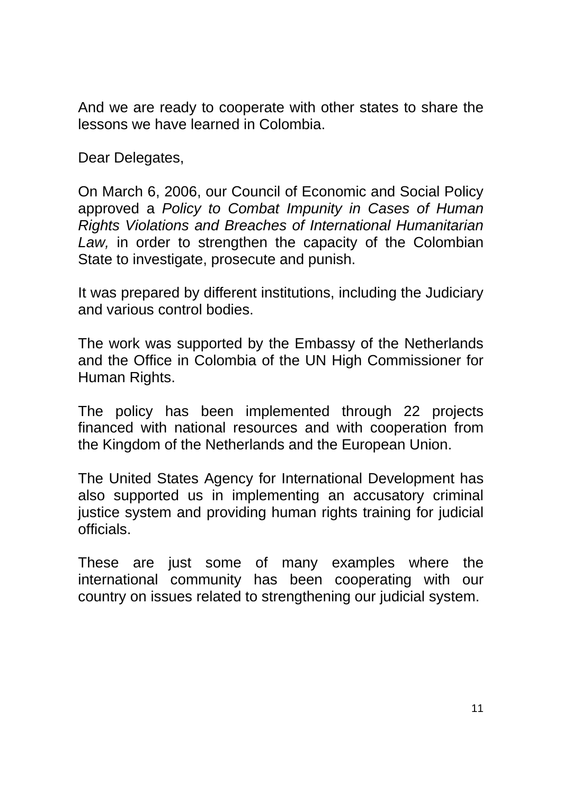And we are ready to cooperate with other states to share the lessons we have learned in Colombia.

Dear Delegates,

On March 6, 2006, our Council of Economic and Social Policy approved a *Policy to Combat Impunity in Cases of Human Rights Violations and Breaches of International Humanitarian Law,* in order to strengthen the capacity of the Colombian State to investigate, prosecute and punish.

It was prepared by different institutions, including the Judiciary and various control bodies.

The work was supported by the Embassy of the Netherlands and the Office in Colombia of the UN High Commissioner for Human Rights.

The policy has been implemented through 22 projects financed with national resources and with cooperation from the Kingdom of the Netherlands and the European Union.

The United States Agency for International Development has also supported us in implementing an accusatory criminal justice system and providing human rights training for judicial officials.

These are just some of many examples where the international community has been cooperating with our country on issues related to strengthening our judicial system.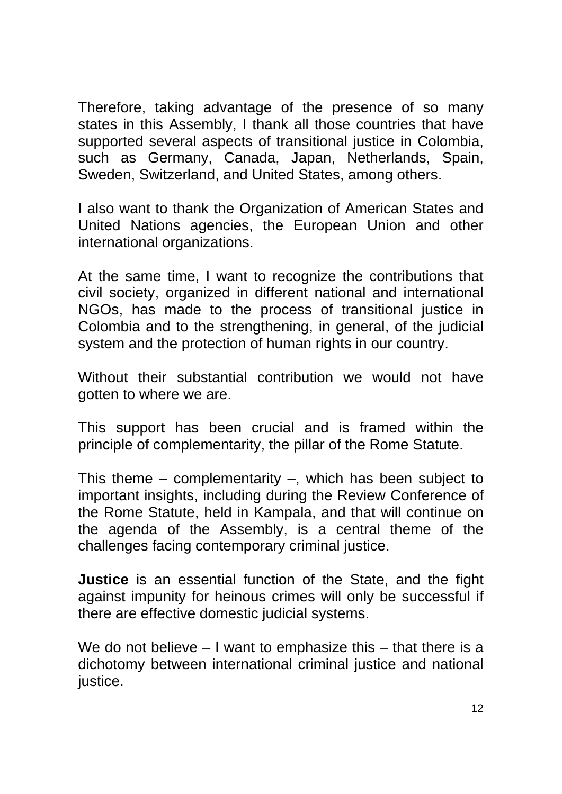Therefore, taking advantage of the presence of so many states in this Assembly, I thank all those countries that have supported several aspects of transitional justice in Colombia, such as Germany, Canada, Japan, Netherlands, Spain, Sweden, Switzerland, and United States, among others.

I also want to thank the Organization of American States and United Nations agencies, the European Union and other international organizations.

At the same time, I want to recognize the contributions that civil society, organized in different national and international NGOs, has made to the process of transitional justice in Colombia and to the strengthening, in general, of the judicial system and the protection of human rights in our country.

Without their substantial contribution we would not have gotten to where we are.

This support has been crucial and is framed within the principle of complementarity, the pillar of the Rome Statute.

This theme – complementarity –, which has been subject to important insights, including during the Review Conference of the Rome Statute, held in Kampala, and that will continue on the agenda of the Assembly, is a central theme of the challenges facing contemporary criminal justice.

**Justice** is an essential function of the State, and the fight against impunity for heinous crimes will only be successful if there are effective domestic judicial systems.

We do not believe – I want to emphasize this – that there is a dichotomy between international criminal justice and national justice.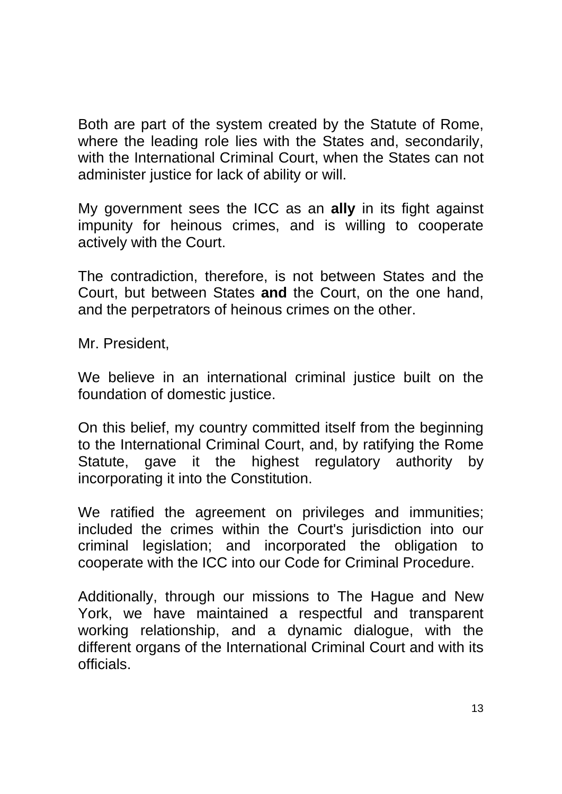Both are part of the system created by the Statute of Rome, where the leading role lies with the States and, secondarily, with the International Criminal Court, when the States can not administer justice for lack of ability or will.

My government sees the ICC as an **ally** in its fight against impunity for heinous crimes, and is willing to cooperate actively with the Court.

The contradiction, therefore, is not between States and the Court, but between States **and** the Court, on the one hand, and the perpetrators of heinous crimes on the other.

Mr. President,

We believe in an international criminal justice built on the foundation of domestic justice.

On this belief, my country committed itself from the beginning to the International Criminal Court, and, by ratifying the Rome Statute, gave it the highest regulatory authority by incorporating it into the Constitution.

We ratified the agreement on privileges and immunities; included the crimes within the Court's jurisdiction into our criminal legislation; and incorporated the obligation to cooperate with the ICC into our Code for Criminal Procedure.

Additionally, through our missions to The Hague and New York, we have maintained a respectful and transparent working relationship, and a dynamic dialogue, with the different organs of the International Criminal Court and with its officials.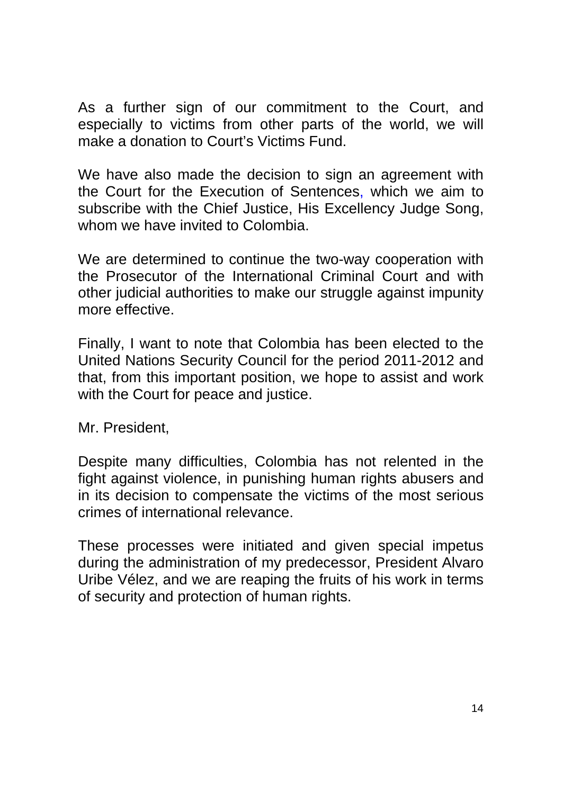As a further sign of our commitment to the Court, and especially to victims from other parts of the world, we will make a donation to Court's Victims Fund.

We have also made the decision to sign an agreement with the Court for the Execution of Sentences, which we aim to subscribe with the Chief Justice, His Excellency Judge Song, whom we have invited to Colombia.

We are determined to continue the two-way cooperation with the Prosecutor of the International Criminal Court and with other judicial authorities to make our struggle against impunity more effective.

Finally, I want to note that Colombia has been elected to the United Nations Security Council for the period 2011-2012 and that, from this important position, we hope to assist and work with the Court for peace and justice.

Mr. President,

Despite many difficulties, Colombia has not relented in the fight against violence, in punishing human rights abusers and in its decision to compensate the victims of the most serious crimes of international relevance.

These processes were initiated and given special impetus during the administration of my predecessor, President Alvaro Uribe Vélez, and we are reaping the fruits of his work in terms of security and protection of human rights.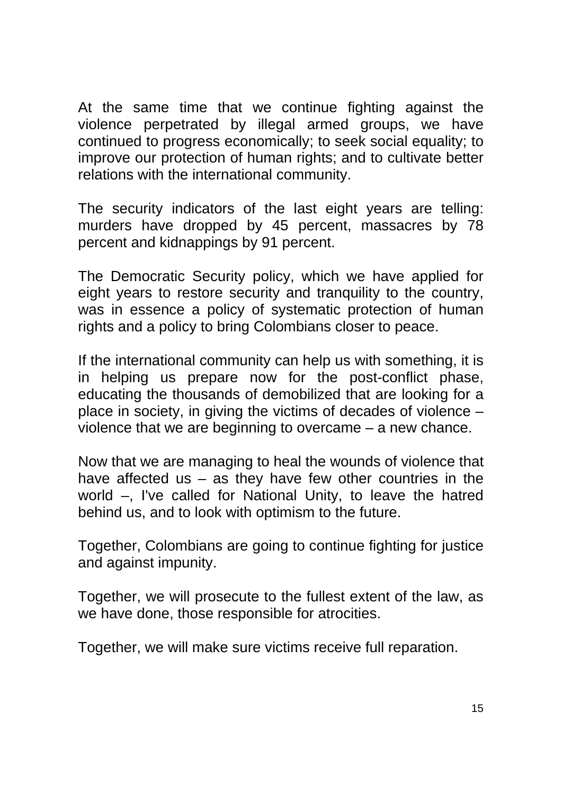At the same time that we continue fighting against the violence perpetrated by illegal armed groups, we have continued to progress economically; to seek social equality; to improve our protection of human rights; and to cultivate better relations with the international community.

The security indicators of the last eight years are telling: murders have dropped by 45 percent, massacres by 78 percent and kidnappings by 91 percent.

The Democratic Security policy, which we have applied for eight years to restore security and tranquility to the country, was in essence a policy of systematic protection of human rights and a policy to bring Colombians closer to peace.

If the international community can help us with something, it is in helping us prepare now for the post-conflict phase, educating the thousands of demobilized that are looking for a place in society, in giving the victims of decades of violence – violence that we are beginning to overcame – a new chance.

Now that we are managing to heal the wounds of violence that have affected us  $-$  as they have few other countries in the world –, I've called for National Unity, to leave the hatred behind us, and to look with optimism to the future.

Together, Colombians are going to continue fighting for justice and against impunity.

Together, we will prosecute to the fullest extent of the law, as we have done, those responsible for atrocities.

Together, we will make sure victims receive full reparation.